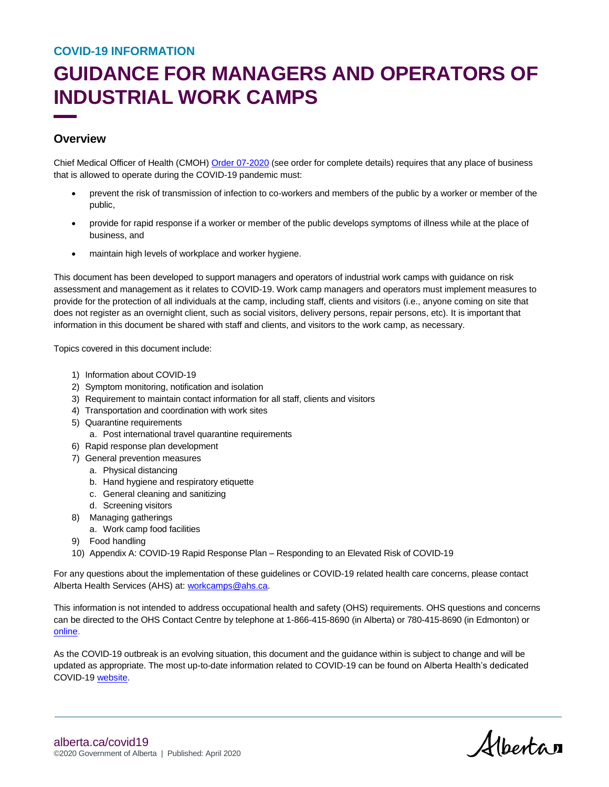# **GUIDANCE FOR MANAGERS AND OPERATORS OF INDUSTRIAL WORK CAMPS**

# **Overview**

Chief Medical Officer of Health (CMOH[\) Order 07-2020](https://open.alberta.ca/publications/cmoh-order-07-2020-2020-covid-19-response) (see order for complete details) requires that any place of business that is allowed to operate during the COVID-19 pandemic must:

- prevent the risk of transmission of infection to co-workers and members of the public by a worker or member of the public,
- provide for rapid response if a worker or member of the public develops symptoms of illness while at the place of business, and
- maintain high levels of workplace and worker hygiene.

This document has been developed to support managers and operators of industrial work camps with guidance on risk assessment and management as it relates to COVID-19. Work camp managers and operators must implement measures to provide for the protection of all individuals at the camp, including staff, clients and visitors (i.e., anyone coming on site that does not register as an overnight client, such as social visitors, delivery persons, repair persons, etc). It is important that information in this document be shared with staff and clients, and visitors to the work camp, as necessary.

Topics covered in this document include:

- 1) Information about COVID-19
- 2) Symptom monitoring, notification and isolation
- 3) Requirement to maintain contact information for all staff, clients and visitors
- 4) Transportation and coordination with work sites
- 5) Quarantine requirements
	- a. Post international travel quarantine requirements
- 6) Rapid response plan development
- 7) General prevention measures
	- a. Physical distancing
	- b. Hand hygiene and respiratory etiquette
	- c. General cleaning and sanitizing
	- d. Screening visitors
- 8) Managing gatherings
	- a. Work camp food facilities
- 9) Food handling
- 10) Appendix A: COVID-19 Rapid Response Plan Responding to an Elevated Risk of COVID-19

For any questions about the implementation of these guidelines or COVID-19 related health care concerns, please contact Alberta Health Services (AHS) at: [workcamps@ahs.ca.](mailto:workcamps@ahs.ca)

This information is not intended to address occupational health and safety (OHS) requirements. OHS questions and concerns can be directed to the OHS Contact Centre by telephone at 1-866-415-8690 (in Alberta) or 780-415-8690 (in Edmonton) or [online.](https://www.alberta.ca/file-complaint-online.aspx)

As the COVID-19 outbreak is an evolving situation, this document and the guidance within is subject to change and will be updated as appropriate. The most up-to-date information related to COVID-19 can be found on Alberta Health's dedicated COVID-19 [website.](https://www.alberta.ca/coronavirus-info-for-albertans.aspx)

Albertan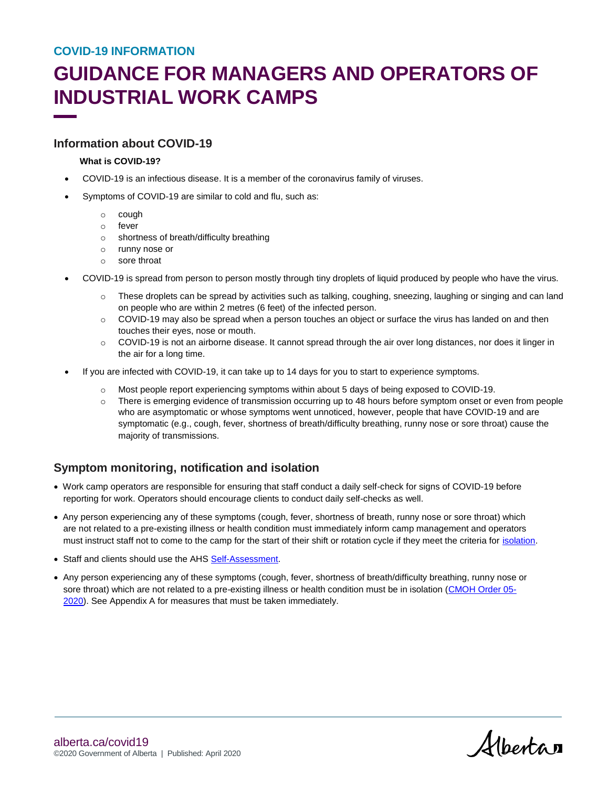# **GUIDANCE FOR MANAGERS AND OPERATORS OF INDUSTRIAL WORK CAMPS**

### **Information about COVID-19**

#### **What is COVID-19?**

- COVID-19 is an infectious disease. It is a member of the coronavirus family of viruses.
- Symptoms of COVID-19 are similar to cold and flu, such as:
	- o cough
	- o fever
	- o shortness of breath/difficulty breathing
	- o runny nose or
	- o sore throat
- COVID-19 is spread from person to person mostly through tiny droplets of liquid produced by people who have the virus.
	- o These droplets can be spread by activities such as talking, coughing, sneezing, laughing or singing and can land on people who are within 2 metres (6 feet) of the infected person.
	- $\circ$  COVID-19 may also be spread when a person touches an object or surface the virus has landed on and then touches their eyes, nose or mouth.
	- $\circ$  COVID-19 is not an airborne disease. It cannot spread through the air over long distances, nor does it linger in the air for a long time.
- If you are infected with COVID-19, it can take up to 14 days for you to start to experience symptoms.
	- o Most people report experiencing symptoms within about 5 days of being exposed to COVID-19.
	- o There is emerging evidence of transmission occurring up to 48 hours before symptom onset or even from people who are asymptomatic or whose symptoms went unnoticed, however, people that have COVID-19 and are symptomatic (e.g., cough, fever, shortness of breath/difficulty breathing, runny nose or sore throat) cause the majority of transmissions.

# **Symptom monitoring, notification and isolation**

- Work camp operators are responsible for ensuring that staff conduct a daily self-check for signs o[f COVID-1](https://myhealth.alberta.ca/Journey/COVID-19/Pages/COVID-Self-Assessment.aspx)9 before reporting for work. Operators should encourage clients to conduct daily self-checks as well.
- Any person experiencing any of these symptoms (cough, fever, shortness of breath, runny nose or sore throat) which are not related to a pre-existing illness or health condition must immediately inform camp management and operators must instruct staff not to come to the camp for the start of their shift or rotation cycle if they meet the criteria for [isolation.](https://www.albertahealthservices.ca/assets/info/ppih/if-ppih-ncov-case-def.pdf)
- Staff and clients should use the AHS [Self-Assessment.](https://myhealth.alberta.ca/Journey/COVID-19/Pages/COVID-Self-Assessment.aspx)
- Any person experiencing any of these symptoms (cough, fever, shortness of breath/difficulty breathing, runny nose or sore throat) which are not related to a pre-existing illness or health condition must be in isolation [\(CMOH Order 05-](https://open.alberta.ca/dataset/005ee2c3-9877-4145-98d0-4306162ac5aa/resource/46aa9494-7454-4dd4-9f74-a250257be1ab/download/health-cmoh-record-fof-decision-cmoh-05-2020.pdf) [2020\)](https://open.alberta.ca/dataset/005ee2c3-9877-4145-98d0-4306162ac5aa/resource/46aa9494-7454-4dd4-9f74-a250257be1ab/download/health-cmoh-record-fof-decision-cmoh-05-2020.pdf). See Appendix A for measures that must be taken immediately.

Albertan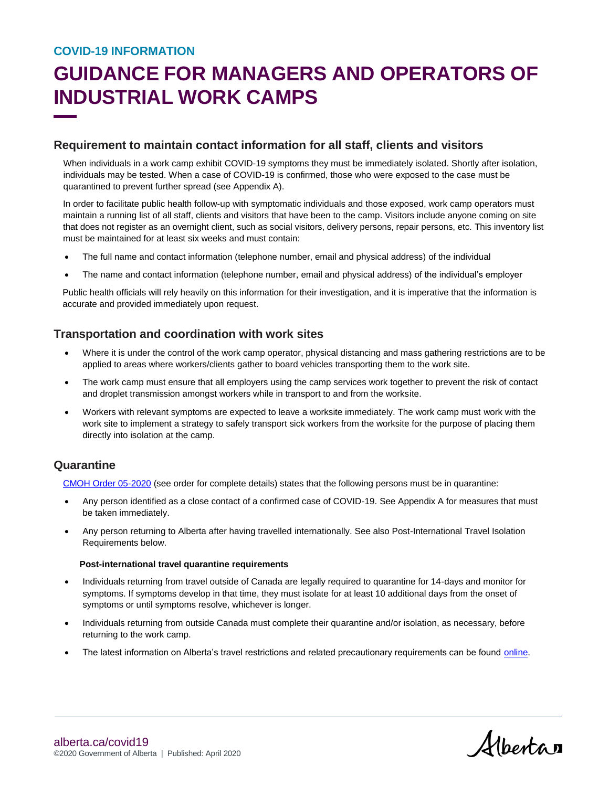# **GUIDANCE FOR MANAGERS AND OPERATORS OF INDUSTRIAL WORK CAMPS**

## **Requirement to maintain contact information for all staff, clients and visitors**

When individuals in a work camp exhibit COVID-19 symptoms they must be immediately isolated. Shortly after isolation, individuals may be tested. When a case of COVID-19 is confirmed, those who were exposed to the case must be quarantined to prevent further spread (see Appendix A).

In order to facilitate public health follow-up with symptomatic individuals and those exposed, work camp operators must maintain a running list of all staff, clients and visitors that have been to the camp. Visitors include anyone coming on site that does not register as an overnight client, such as social visitors, delivery persons, repair persons, etc. This inventory list must be maintained for at least six weeks and must contain:

- The full name and contact information (telephone number, email and physical address) of the individual
- The name and contact information (telephone number, email and physical address) of the individual's employer

Public health officials will rely heavily on this information for their investigation, and it is imperative that the information is accurate and provided immediately upon request.

## **Transportation and coordination with work sites**

- Where it is under the control of the work camp operator, physical distancing and mass gathering restrictions are to be applied to areas where workers/clients gather to board vehicles transporting them to the work site.
- The work camp must ensure that all employers using the camp services work together to prevent the risk of contact and droplet transmission amongst workers while in transport to and from the worksite.
- Workers with relevant symptoms are expected to leave a worksite immediately. The work camp must work with the work site to implement a strategy to safely transport sick workers from the worksite for the purpose of placing them directly into isolation at the camp.

# **Quarantine**

[CMOH Order 05-2020](https://open.alberta.ca/dataset/005ee2c3-9877-4145-98d0-4306162ac5aa/resource/46aa9494-7454-4dd4-9f74-a250257be1ab/download/health-cmoh-record-fof-decision-cmoh-05-2020.pdf) (see order for complete details) states that the following persons must be in quarantine:

- Any person identified as a close contact of a confirmed case of COVID-19. See Appendix A for measures that must be taken immediately.
- Any person returning to Alberta after having travelled internationally. See also Post-International Travel Isolation Requirements below.

#### **Post-international travel quarantine requirements**

- Individuals returning from travel outside of Canada are legally required to quarantine for 14-days and monitor for symptoms. If symptoms develop in that time, they must isolate for at least 10 additional days from the onset of symptoms or until symptoms resolve, whichever is longer.
- Individuals returning from outside Canada must complete their quarantine and/or isolation, as necessary, before returning to the work camp.
- The latest information on Alberta's travel restrictions and related precautionary requirements can be found [online.](https://www.alberta.ca/covid-19-travel-advice.aspx)

Albertan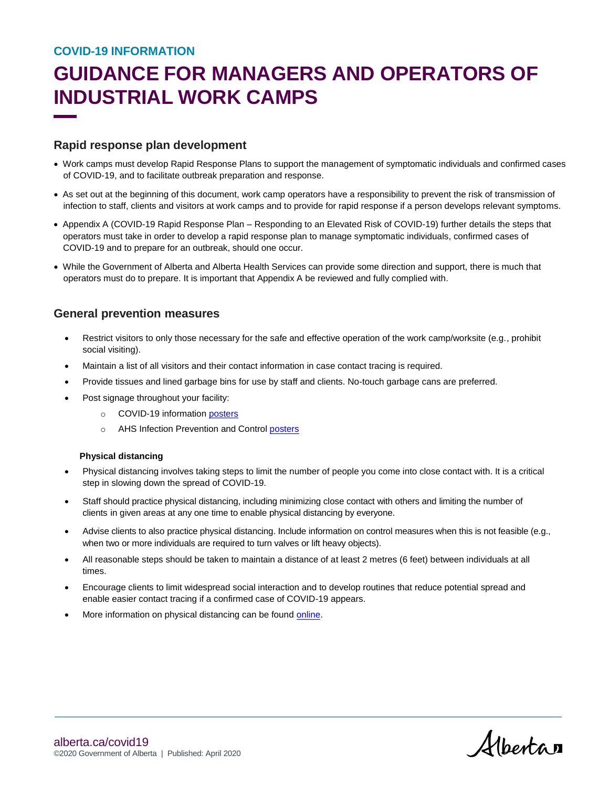# **GUIDANCE FOR MANAGERS AND OPERATORS OF INDUSTRIAL WORK CAMPS**

### **Rapid response plan development**

- Work camps must develop Rapid Response Plans to support the management of symptomatic individuals and confirmed cases of COVID-19, and to facilitate outbreak preparation and response.
- As set out at the beginning of this document, work camp operators have a responsibility to prevent the risk of transmission of infection to staff, clients and visitors at work camps and to provide for rapid response if a person develops relevant symptoms.
- Appendix A (COVID-19 Rapid Response Plan Responding to an Elevated Risk of COVID-19) further details the steps that operators must take in order to develop a rapid response plan to manage symptomatic individuals, confirmed cases of COVID-19 and to prepare for an outbreak, should one occur.
- While the Government of Alberta and Alberta Health Services can provide some direction and support, there is much that operators must do to prepare. It is important that Appendix A be reviewed and fully complied with.

### **General prevention measures**

- Restrict visitors to only those necessary for the safe and effective operation of the work camp/worksite (e.g., prohibit social visiting).
- Maintain a list of all visitors and their contact information in case contact tracing is required.
- Provide tissues and lined garbage bins for use by staff and clients. No-touch garbage cans are preferred.
- Post signage throughout your facility:
	- o COVID-19 information [posters](https://open.alberta.ca/publications/covid-19-information-help-prevent-the-spread-poster)
	- o AHS Infection Prevention and Control [posters](https://www.albertahealthservices.ca/info/Page11362.aspx)

#### **Physical distancing**

- Physical distancing involves taking steps to limit the number of people you come into close contact with. It is a critical step in slowing down the spread of COVID-19.
- Staff should practice physical distancing, including minimizing close contact with others and limiting the number of clients in given areas at any one time to enable physical distancing by everyone.
- Advise clients to also practice physical distancing. Include information on control measures when this is not feasible (e.g., when two or more individuals are required to turn valves or lift heavy objects).
- All reasonable steps should be taken to maintain a distance of at least 2 metres (6 feet) between individuals at all times.
- Encourage clients to limit widespread social interaction and to develop routines that reduce potential spread and enable easier contact tracing if a confirmed case of COVID-19 appears.
- More information on physical distancing can be found [online.](https://www.alberta.ca/prevent-the-spread.aspx#p25621s3)

Alberta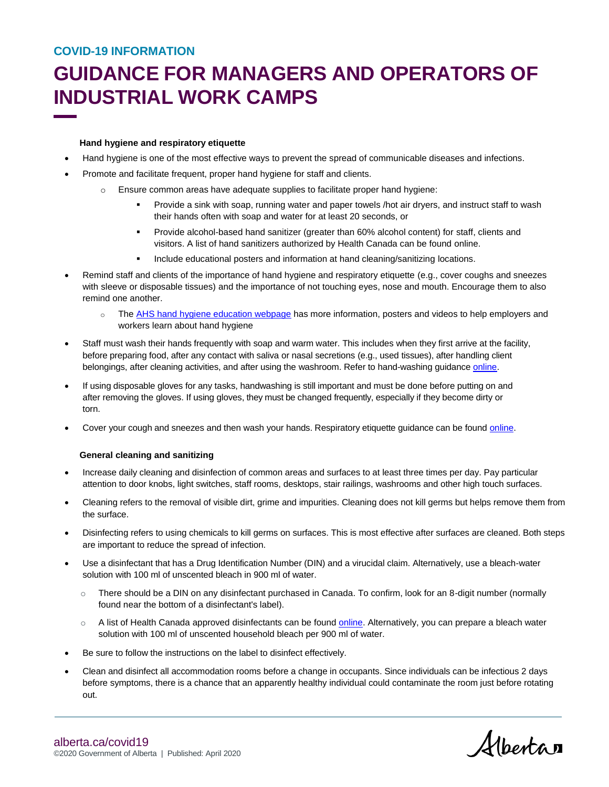# **GUIDANCE FOR MANAGERS AND OPERATORS OF INDUSTRIAL WORK CAMPS**

#### **Hand hygiene and respiratory etiquette**

- Hand hygiene is one of the most effective ways to prevent the spread of communicable diseases and infections.
- Promote and facilitate frequent, proper hand hygiene for staff and clients.
	- o Ensure common areas have adequate supplies to facilitate proper hand hygiene:
		- Provide a sink with soap, running water and paper towels /hot air dryers, and instruct staff to wash their hands often with soap and water for at least 20 seconds, or
		- Provide alcohol-based hand sanitizer (greater than 60% alcohol content) for staff, clients and visitors. A list of hand sanitizers authorized by Health Canada can be foun[d online.](https://www.canada.ca/en/health-canada/services/drugs-health-products/disinfectants/covid-19/hand-sanitizer.html)
		- Include educational posters and information at hand cleaning/sanitizing locations.
- Remind staff and clients of the importance of hand hygiene and respiratory etiquette (e.g., cover coughs and sneezes with sleeve or disposable tissues) and the importance of not touching eyes, nose and mouth. Encourage them to also remind one another.
	- o The AHS [hand hygiene education webpage](https://www.albertahealthservices.ca/info/Page14955.aspx) has more information, posters and videos to help employers and workers learn about hand hygiene
- Staff must wash their hands frequently with soap and warm water. This includes when they first arrive at the facility, before preparing food, after any contact with saliva or nasal secretions (e.g., used tissues), after handling client belongings, after cleaning activities, and after using the washroom. Refer to hand-washing guidance [online.](https://www.albertahealthservices.ca/info/Page14955.aspx)
- If using disposable gloves for any tasks, handwashing is still important and must be done before putting on and after removing the gloves. If using gloves, they must be changed frequently, especially if they become dirty or torn.
- Cover your cough and sneezes and then wash your hands. Respiratory etiquette guidance can be found [online.](https://www.albertahealthservices.ca/info/Page14511.aspx)

#### **General cleaning and sanitizing**

- Increase daily cleaning and disinfection of common areas and surfaces to at least three times per day. Pay particular attention to door knobs, light switches, staff rooms, desktops, stair railings, washrooms and other high touch surfaces.
- Cleaning refers to the removal of visible dirt, grime and impurities. Cleaning does not kill germs but helps remove them from the surface.
- Disinfecting refers to using chemicals to kill germs on surfaces. This is most effective after surfaces are cleaned. Both steps are important to reduce the spread of infection.
- Use a disinfectant that has a Drug Identification Number (DIN) and a virucidal claim. Alternatively, use a bleach-water solution with 100 ml of unscented bleach in 900 ml of water.
	- $\circ$  There should be a DIN on any disinfectant purchased in Canada. To confirm, look for an 8-digit number (normally found near the bottom of a disinfectant's label).
	- o A list of Health Canada approved disinfectants can be found **online**. Alternatively, you can prepare a bleach water solution with 100 ml of unscented household bleach per 900 ml of water.
- Be sure to follow the instructions on the label to disinfect effectively.
- Clean and disinfect all accommodation rooms before a change in occupants. Since individuals can be infectious 2 days before symptoms, there is a chance that an apparently healthy individual could contaminate the room just before rotating out.

Alberta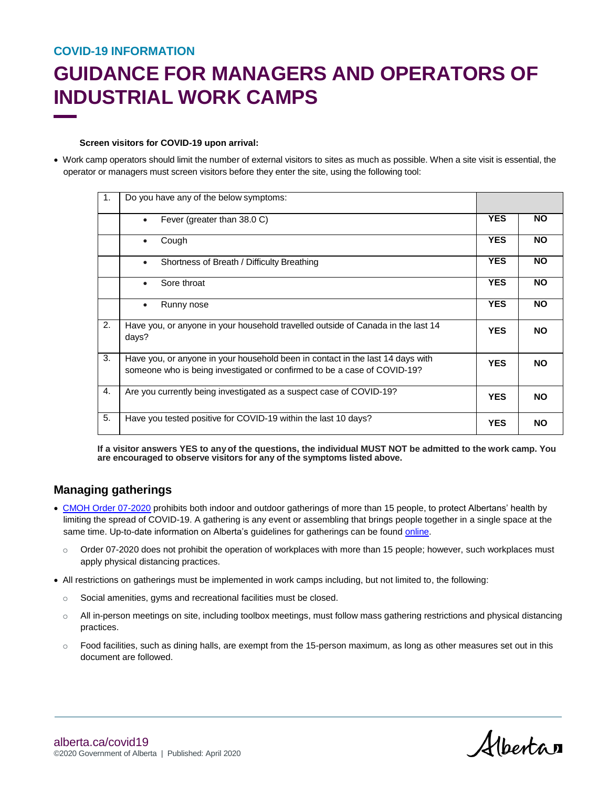# **GUIDANCE FOR MANAGERS AND OPERATORS OF INDUSTRIAL WORK CAMPS**

#### **Screen visitors for COVID-19 upon arrival:**

 Work camp operators should limit the number of external visitors to sites as much as possible. When a site visit is essential, the operator or managers must screen visitors before they enter the site, using the following tool:

| $\mathbf{1}$ . | Do you have any of the below symptoms:                                                                                                                     |            |           |
|----------------|------------------------------------------------------------------------------------------------------------------------------------------------------------|------------|-----------|
|                | Fever (greater than 38.0 C)<br>$\bullet$                                                                                                                   | <b>YES</b> | <b>NO</b> |
|                | Cough<br>$\bullet$                                                                                                                                         | <b>YES</b> | <b>NO</b> |
|                | Shortness of Breath / Difficulty Breathing<br>$\bullet$                                                                                                    | <b>YES</b> | <b>NO</b> |
|                | Sore throat<br>$\bullet$                                                                                                                                   | <b>YES</b> | <b>NO</b> |
|                | Runny nose                                                                                                                                                 | <b>YES</b> | <b>NO</b> |
| 2.             | Have you, or anyone in your household travelled outside of Canada in the last 14<br>days?                                                                  | <b>YES</b> | <b>NO</b> |
| 3.             | Have you, or anyone in your household been in contact in the last 14 days with<br>someone who is being investigated or confirmed to be a case of COVID-19? | <b>YES</b> | <b>NO</b> |
| 4.             | Are you currently being investigated as a suspect case of COVID-19?                                                                                        | <b>YES</b> | <b>NO</b> |
| 5.             | Have you tested positive for COVID-19 within the last 10 days?                                                                                             | <b>YES</b> | <b>NO</b> |

**If a visitor answers YES to anyof the questions, the individual MUST NOT be admitted to the work camp. You are encouraged to observe visitors for any of the symptoms listed above.**

# **Managing gatherings**

- CMOH [Order 07-2020](https://open.alberta.ca/publications/cmoh-order-07-2020-2020-covid-19-responsehttps:/open.alberta.ca/dataset/c02f3b06-9c37-4845-98ee-d07d805fdce1/resource/32f3367d-9a15-4aef-af6e-4e960891c14e/download/health-cmoh-record-of-decision-cmoh-07-2020.pdf) prohibits both indoor and outdoor gatherings of more than 15 people, to protect Albertans' health by limiting the spread of COVID-19. A gathering is any event or assembling that brings people together in a single space at the same time. Up-to-date information on Alberta's guidelines for gatherings can be found [online.](https://www.alberta.ca/restrictions-on-gatherings-and-businesses.aspx)
	- o Order 07-2020 does not prohibit the operation of workplaces with more than 15 people; however, such workplaces must apply physical distancing practices.
- All restrictions on gatherings must be implemented in work camps including, but not limited to, the following:
	- o Social amenities, gyms and recreational facilities must be closed.
	- o All in-person meetings on site, including toolbox meetings, must follow mass gathering restrictions and physical distancing practices.
	- $\circ$  Food facilities, such as dining halls, are exempt from the 15-person maximum, as long as other measures set out in this document are followed.

Albertan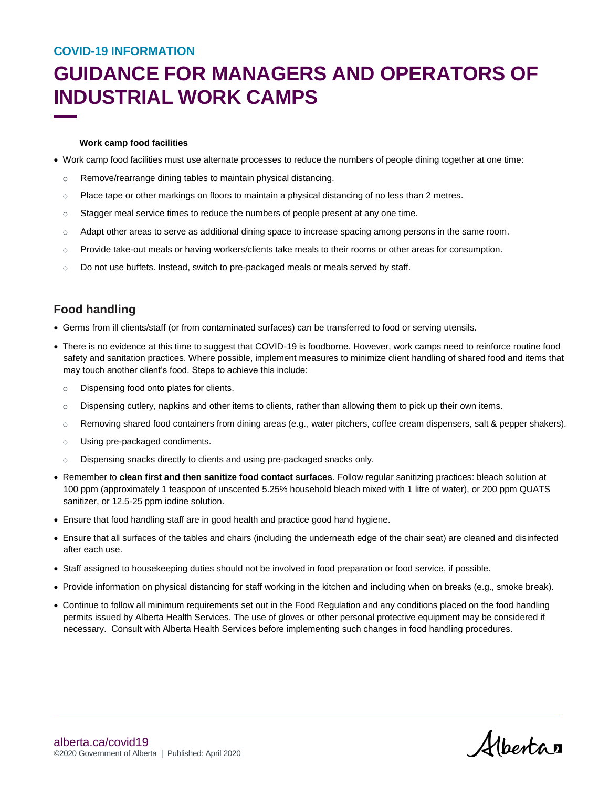# **GUIDANCE FOR MANAGERS AND OPERATORS OF INDUSTRIAL WORK CAMPS**

#### **Work camp food facilities**

- Work camp food facilities must use alternate processes to reduce the numbers of people dining together at one time:
	- o Remove/rearrange dining tables to maintain physical distancing.
	- o Place tape or other markings on floors to maintain a physical distancing of no less than 2 metres.
	- $\circ$  Stagger meal service times to reduce the numbers of people present at any one time.
	- o Adapt other areas to serve as additional dining space to increase spacing among persons in the same room.
	- o Provide take-out meals or having workers/clients take meals to their rooms or other areas for consumption.
	- $\circ$  Do not use buffets. Instead, switch to pre-packaged meals or meals served by staff.

# **Food handling**

- Germs from ill clients/staff (or from contaminated surfaces) can be transferred to food or serving utensils.
- There is no evidence at this time to suggest that COVID-19 is foodborne. However, work camps need to reinforce routine food safety and sanitation practices. Where possible, implement measures to minimize client handling of shared food and items that may touch another client's food. Steps to achieve this include:
	- o Dispensing food onto plates for clients.
	- $\circ$  Dispensing cutlery, napkins and other items to clients, rather than allowing them to pick up their own items.
	- $\circ$  Removing shared food containers from dining areas (e.g., water pitchers, coffee cream dispensers, salt & pepper shakers).
	- o Using pre-packaged condiments.
	- o Dispensing snacks directly to clients and using pre-packaged snacks only.
- Remember to **clean first and then sanitize food contact surfaces**. Follow regular sanitizing practices: bleach solution at 100 ppm (approximately 1 teaspoon of unscented 5.25% household bleach mixed with 1 litre of water), or 200 ppm QUATS sanitizer, or 12.5-25 ppm iodine solution.
- Ensure that food handling staff are in good health and practice good hand hygiene.
- Ensure that all surfaces of the tables and chairs (including the underneath edge of the chair seat) are cleaned and disinfected after each use.
- Staff assigned to housekeeping duties should not be involved in food preparation or food service, if possible.
- Provide information on physical distancing for staff working in the kitchen and including when on breaks (e.g., smoke break).
- Continue to follow all minimum requirements set out in the Food Regulation and any conditions placed on the food handling permits issued by Alberta Health Services. The use of gloves or other personal protective equipment may be considered if necessary. Consult with Alberta Health Services before implementing such changes in food handling procedures.

Alberta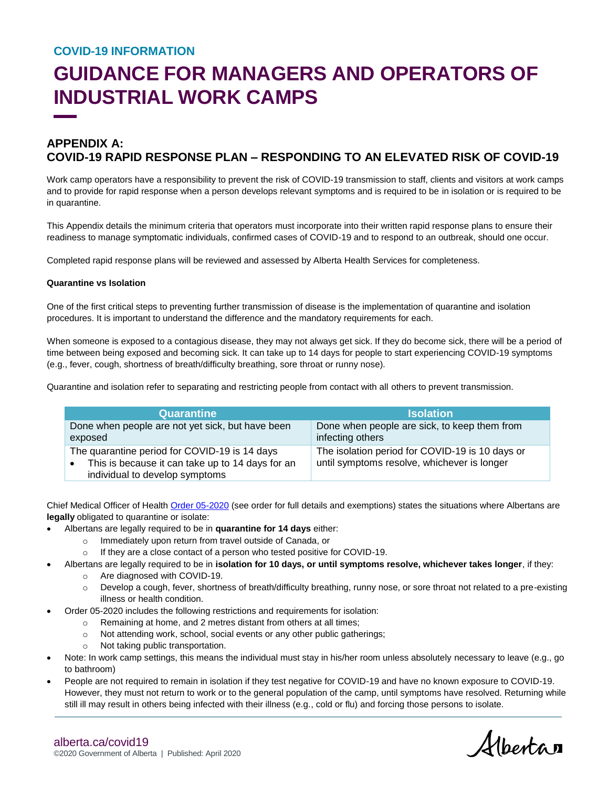# **GUIDANCE FOR MANAGERS AND OPERATORS OF INDUSTRIAL WORK CAMPS**

# **APPENDIX A: COVID-19 RAPID RESPONSE PLAN – RESPONDING TO AN ELEVATED RISK OF COVID-19**

Work camp operators have a responsibility to prevent the risk of COVID-19 transmission to staff, clients and visitors at work camps and to provide for rapid response when a person develops relevant symptoms and is required to be in isolation or is required to be in quarantine.

This Appendix details the minimum criteria that operators must incorporate into their written rapid response plans to ensure their readiness to manage symptomatic individuals, confirmed cases of COVID-19 and to respond to an outbreak, should one occur.

Completed rapid response plans will be reviewed and assessed by Alberta Health Services for completeness.

#### **Quarantine vs Isolation**

One of the first critical steps to preventing further transmission of disease is the implementation of quarantine and isolation procedures. It is important to understand the difference and the mandatory requirements for each.

When someone is exposed to a contagious disease, they may not always get sick. If they do become sick, there will be a period of time between being exposed and becoming sick. It can take up to 14 days for people to start experiencing COVID-19 symptoms (e.g., fever, cough, shortness of breath/difficulty breathing, sore throat or runny nose).

Quarantine and isolation refer to separating and restricting people from contact with all others to prevent transmission.

| <b>Quarantine</b>                                                                                                                                | <b>Isolation</b>                                                                               |
|--------------------------------------------------------------------------------------------------------------------------------------------------|------------------------------------------------------------------------------------------------|
| Done when people are not yet sick, but have been<br>exposed                                                                                      | Done when people are sick, to keep them from<br>infecting others                               |
| The quarantine period for COVID-19 is 14 days<br>This is because it can take up to 14 days for an<br>$\bullet$<br>individual to develop symptoms | The isolation period for COVID-19 is 10 days or<br>until symptoms resolve, whichever is longer |

Chief Medical Officer of Healt[h Order 05-2020](https://open.alberta.ca/publications/cmoh-order-05-2020-2020-covid-19-response) (see order for full details and exemptions) states the situations where Albertans are **legally** obligated to quarantine or isolate:

- Albertans are legally required to be in **quarantine for 14 days** either:
	- o Immediately upon return from travel outside of Canada, or
	- o If they are a close contact of a person who tested positive for COVID-19.
- Albertans are legally required to be in **isolation for 10 days, or until symptoms resolve, whichever takes longer**, if they:
	- o Are diagnosed with COVID-19.
	- o Develop a cough, fever, shortness of breath/difficulty breathing, runny nose, or sore throat not related to a pre-existing illness or health condition.
- Order 05-2020 includes the following restrictions and requirements for isolation:
	- o Remaining at home, and 2 metres distant from others at all times;
	- o Not attending work, school, social events or any other public gatherings;
	- o Not taking public transportation.
- Note: In work camp settings, this means the individual must stay in his/her room unless absolutely necessary to leave (e.g., go to bathroom)
- People are not required to remain in isolation if they test negative for COVID-19 and have no known exposure to COVID-19. However, they must not return to work or to the general population of the camp, until symptoms have resolved. Returning while still ill may result in others being infected with their illness (e.g., cold or flu) and forcing those persons to isolate.

Albertan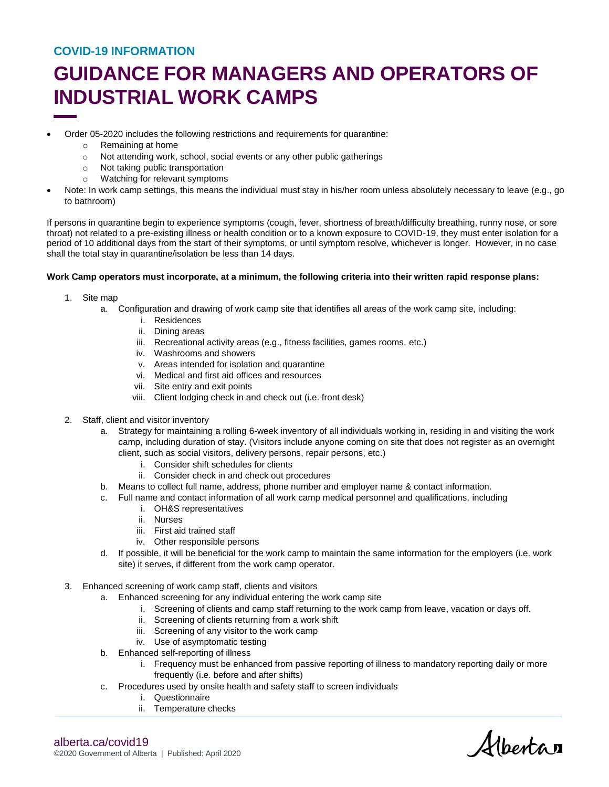# **GUIDANCE FOR MANAGERS AND OPERATORS OF INDUSTRIAL WORK CAMPS**

- Order 05-2020 includes the following restrictions and requirements for quarantine:
	- o Remaining at home
	- o Not attending work, school, social events or any other public gatherings
	- o Not taking public transportation
	- o Watching for relevant symptoms
- Note: In work camp settings, this means the individual must stay in his/her room unless absolutely necessary to leave (e.g., go to bathroom)

If persons in quarantine begin to experience symptoms (cough, fever, shortness of breath/difficulty breathing, runny nose, or sore throat) not related to a pre-existing illness or health condition or to a known exposure to COVID-19, they must enter isolation for a period of 10 additional days from the start of their symptoms, or until symptom resolve, whichever is longer. However, in no case shall the total stay in quarantine/isolation be less than 14 days.

#### **Work Camp operators must incorporate, at a minimum, the following criteria into their written rapid response plans:**

- 1. Site map
	- a. Configuration and drawing of work camp site that identifies all areas of the work camp site, including:
		- i. Residences
		- ii. Dining areas
		- iii. Recreational activity areas (e.g., fitness facilities, games rooms, etc.)
		- iv. Washrooms and showers
		- v. Areas intended for isolation and quarantine
		- vi. Medical and first aid offices and resources
		- vii. Site entry and exit points
		- viii. Client lodging check in and check out (i.e. front desk)
- 2. Staff, client and visitor inventory
	- a. Strategy for maintaining a rolling 6-week inventory of all individuals working in, residing in and visiting the work camp, including duration of stay. (Visitors include anyone coming on site that does not register as an overnight client, such as social visitors, delivery persons, repair persons, etc.)
		- i. Consider shift schedules for clients
		- ii. Consider check in and check out procedures
	- b. Means to collect full name, address, phone number and employer name & contact information.
	- c. Full name and contact information of all work camp medical personnel and qualifications, including
		- i. OH&S representatives
		- ii. Nurses
		- iii. First aid trained staff
		- iv. Other responsible persons
	- d. If possible, it will be beneficial for the work camp to maintain the same information for the employers (i.e. work site) it serves, if different from the work camp operator.
- 3. Enhanced screening of work camp staff, clients and visitors
	- a. Enhanced screening for any individual entering the work camp site
		- i. Screening of clients and camp staff returning to the work camp from leave, vacation or days off.
		- ii. Screening of clients returning from a work shift
		- iii. Screening of any visitor to the work camp
		- iv. Use of asymptomatic testing
	- b. Enhanced self-reporting of illness
		- i. Frequency must be enhanced from passive reporting of illness to mandatory reporting daily or more frequently (i.e. before and after shifts)
	- c. Procedures used by onsite health and safety staff to screen individuals
		- i. Questionnaire
		- ii. Temperature checks

alberta.ca/covid19 ©2020 Government of Alberta | Published: April 2020

Albertan